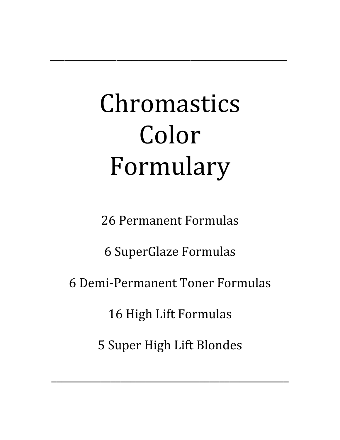# Chromastics Color Formulary

\_\_\_\_\_\_\_\_\_\_\_\_\_\_\_\_\_\_\_\_\_\_\_\_\_\_\_\_\_\_\_\_

26 Permanent Formulas

6 SuperGlaze Formulas

6 Demi‐Permanent Toner Formulas

16 High Lift Formulas

5 Super High Lift Blondes

 $\overline{\phantom{a}}$  , and the contract of the contract of the contract of the contract of the contract of the contract of the contract of the contract of the contract of the contract of the contract of the contract of the contrac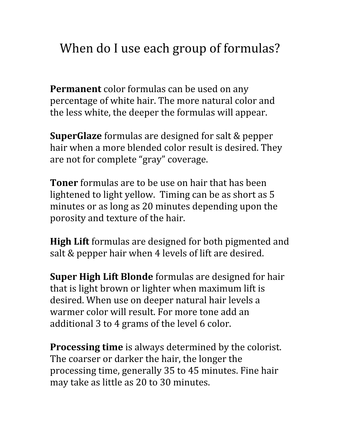# When do I use each group of formulas?

**Permanent** color formulas can be used on any percentage of white hair. The more natural color and the less white, the deeper the formulas will appear.

**SuperGlaze** formulas are designed for salt & pepper hair when a more blended color result is desired. They are not for complete "gray" coverage.

**Toner** formulas are to be use on hair that has been lightened to light yellow. Timing can be as short as 5 minutes or as long as 20 minutes depending upon the porosity and texture of the hair.

**High Lift** formulas are designed for both pigmented and salt & pepper hair when 4 levels of lift are desired.

**Super High Lift Blonde** formulas are designed for hair that is light brown or lighter when maximum lift is desired. When use on deeper natural hair levels a warmer color will result. For more tone add an additional 3 to 4 grams of the level 6 color.

**Processing time** is always determined by the colorist. The coarser or darker the hair, the longer the processing time, generally 35 to 45 minutes. Fine hair may take as little as 20 to 30 minutes.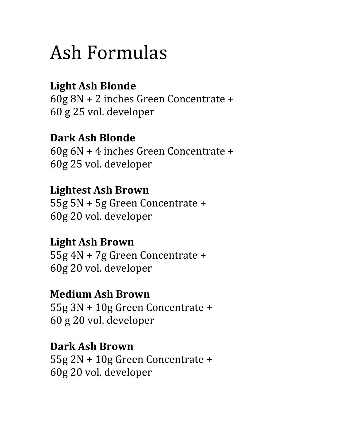# Ash Formulas

# **Light Ash Blonde**

60g 8N + 2 inches Green Concentrate + 60 g 25 vol. developer

#### **Dark Ash Blonde** 60g 6N + 4 inches Green Concentrate + 60g 25 vol. developer

### **Lightest Ash Brown**

55g 5N + 5g Green Concentrate + 60g 20 vol. developer

#### **Light Ash Brown**

55g 4N + 7g Green Concentrate + 60g 20 vol. developer

#### **Medium Ash Brown**

55g 3N + 10g Green Concentrate + 60 g 20 vol. developer

#### **Dark Ash Brown**

55g 2N + 10g Green Concentrate + 60g 20 vol. developer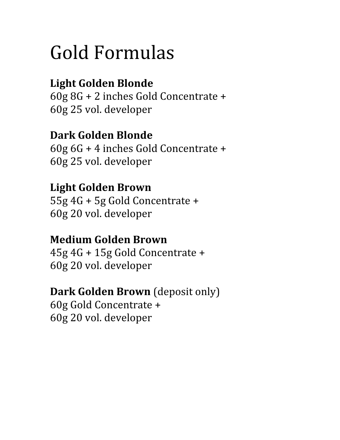# Gold Formulas

# **Light Golden Blonde**

60g 8G + 2 inches Gold Concentrate + 60g 25 vol. developer

### **Dark Golden Blonde**

60g 6G + 4 inches Gold Concentrate + 60g 25 vol. developer

#### **Light Golden Brown**

55g 4G + 5g Gold Concentrate + 60g 20 vol. developer

#### **Medium Golden Brown**

45g 4G + 15g Gold Concentrate + 60g 20 vol. developer

#### **Dark Golden Brown** (deposit only)

60g Gold Concentrate + 60g 20 vol. developer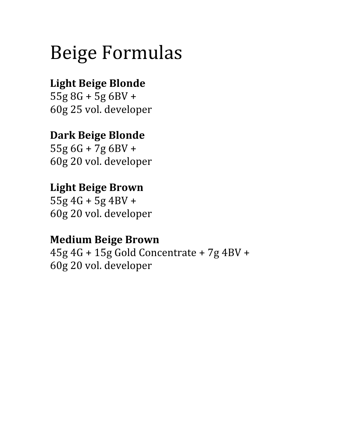# Beige Formulas

### **Light Beige Blonde**

55g 8G + 5g 6BV + 60g 25 vol. developer

#### **Dark Beige Blonde**

55g 6G + 7g 6BV + 60g 20 vol. developer

#### **Light Beige Brown**

55g 4G + 5g 4BV + 60g 20 vol. developer

#### **Medium Beige Brown**

45g 4G + 15g Gold Concentrate + 7g 4BV + 60g 20 vol. developer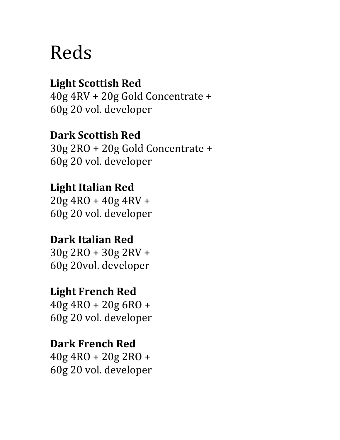# Reds

### **Light Scottish Red**

40g 4RV + 20g Gold Concentrate + 60g 20 vol. developer

#### **Dark Scottish Red**

30g 2RO + 20g Gold Concentrate + 60g 20 vol. developer

#### **Light Italian Red**

20g 4RO + 40g 4RV + 60g 20 vol. developer

# **Dark Italian Red**

30g 2RO + 30g 2RV + 60g 20vol. developer

#### **Light French Red**

40g 4RO + 20g 6RO + 60g 20 vol. developer

#### **Dark French Red**

40g 4RO + 20g 2RO + 60g 20 vol. developer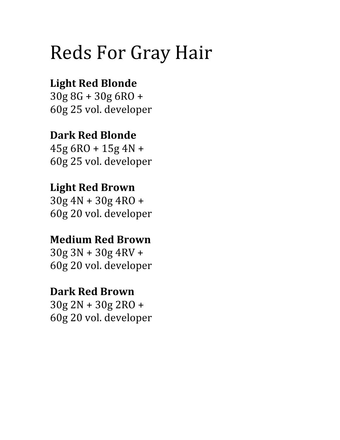# Reds For Gray Hair

# **Light Red Blonde**

30g 8G + 30g 6RO + 60g 25 vol. developer

# **Dark Red Blonde**

45g 6RO + 15g 4N + 60g 25 vol. developer

### **Light Red Brown**

30g 4N + 30g 4RO + 60g 20 vol. developer

# **Medium Red Brown**

30g 3N + 30g 4RV + 60g 20 vol. developer

#### **Dark Red Brown**

30g 2N + 30g 2RO + 60g 20 vol. developer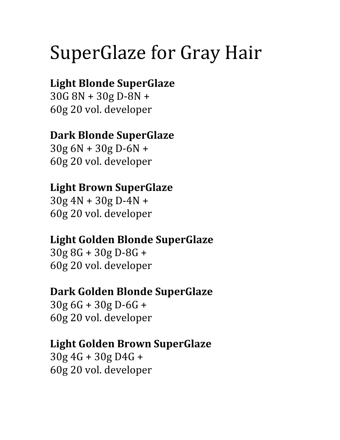# SuperGlaze for Gray Hair

## **Light Blonde SuperGlaze**

30G 8N + 30g D‐8N + 60g 20 vol. developer

### **Dark Blonde SuperGlaze**

30g 6N + 30g D‐6N + 60g 20 vol. developer

#### **Light Brown SuperGlaze**

 $30g 4N + 30g D-4N +$ 60g 20 vol. developer

#### **Light Golden Blonde SuperGlaze**

30g 8G + 30g D‐8G + 60g 20 vol. developer

#### **Dark Golden Blonde SuperGlaze**

30g 6G + 30g D‐6G + 60g 20 vol. developer

#### **Light Golden Brown SuperGlaze**

30g 4G + 30g D4G + 60g 20 vol. developer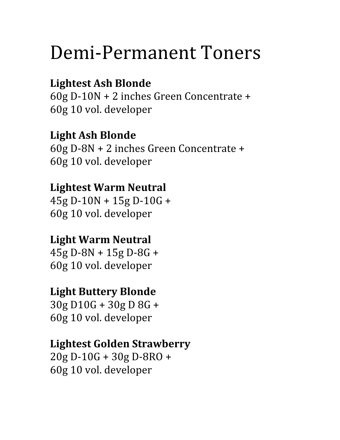# Demi‐Permanent Toners

### **Lightest Ash Blonde**

60g D‐10N + 2 inches Green Concentrate + 60g 10 vol. developer

#### **Light Ash Blonde**

60g D‐8N + 2 inches Green Concentrate + 60g 10 vol. developer

#### **Lightest Warm Neutral**

45g D‐10N + 15g D‐10G + 60g 10 vol. developer

#### **Light Warm Neutral**

45g D‐8N + 15g D‐8G + 60g 10 vol. developer

#### **Light Buttery Blonde**

30g D10G + 30g D 8G + 60g 10 vol. developer

#### **Lightest Golden Strawberry**

20g D‐10G + 30g D‐8RO + 60g 10 vol. developer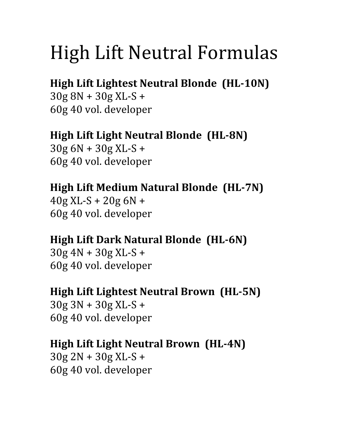# High Lift Neutral Formulas

# **High Lift Lightest Neutral Blonde (HL-10N)**

30g 8N + 30g XL‐S + 60g 40 vol. developer

#### **High Lift Light Neutral Blonde (HL-8N)**

30g 6N + 30g XL‐S + 60g 40 vol. developer

#### **High Lift Medium Natural Blonde (HL7N)**

 $40g$  XL-S +  $20g$  6N + 60g 40 vol. developer

#### **High Lift Dark Natural Blonde (HL-6N)**

30g 4N + 30g XL‐S + 60g 40 vol. developer

#### **High Lift Lightest Neutral Brown (HL5N)**

30g 3N + 30g XL‐S + 60g 40 vol. developer

#### **High Lift Light Neutral Brown (HL-4N)**

 $30g 2N + 30g XL-S +$ 60g 40 vol. developer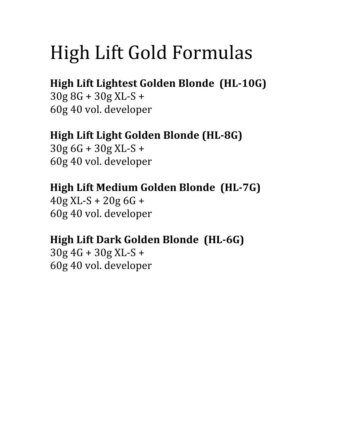# High Lift Gold Formulas

## **High Lift Lightest Golden Blonde (HL10G)**

30g 8G + 30g XL‐S + 60g 40 vol. developer

#### **High Lift Light Golden Blonde (HL-8G)**

30g 6G + 30g XL‐S + 60g 40 vol. developer

# **High Lift Medium Golden Blonde (HL7G)**

40g XL‐S + 20g 6G + 60g 40 vol. developer

#### **High Lift Dark Golden Blonde (HL-6G)**

 $30g 4G + 30g XL-S +$ 60g 40 vol. developer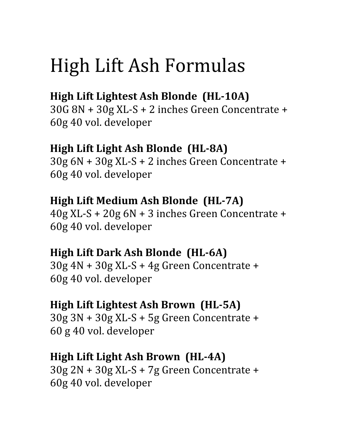# High Lift Ash Formulas

# **High Lift Lightest Ash Blonde (HL-10A)**

30G 8N + 30g XL‐S + 2 inches Green Concentrate + 60g 40 vol. developer

#### **High Lift Light Ash Blonde (HL-8A)**

30g 6N + 30g XL‐S + 2 inches Green Concentrate + 60g 40 vol. developer

#### **High Lift Medium Ash Blonde (HL7A)**

40g XL‐S + 20g 6N + 3 inches Green Concentrate + 60g 40 vol. developer

#### **High Lift Dark Ash Blonde (HL-6A)**

30g 4N + 30g XL‐S + 4g Green Concentrate + 60g 40 vol. developer

#### **High Lift Lightest Ash Brown (HL5A)**

30g 3N + 30g XL‐S + 5g Green Concentrate + 60 g 40 vol. developer

#### **High Lift Light Ash Brown (HL4A)**

30g 2N + 30g XL‐S + 7g Green Concentrate + 60g 40 vol. developer